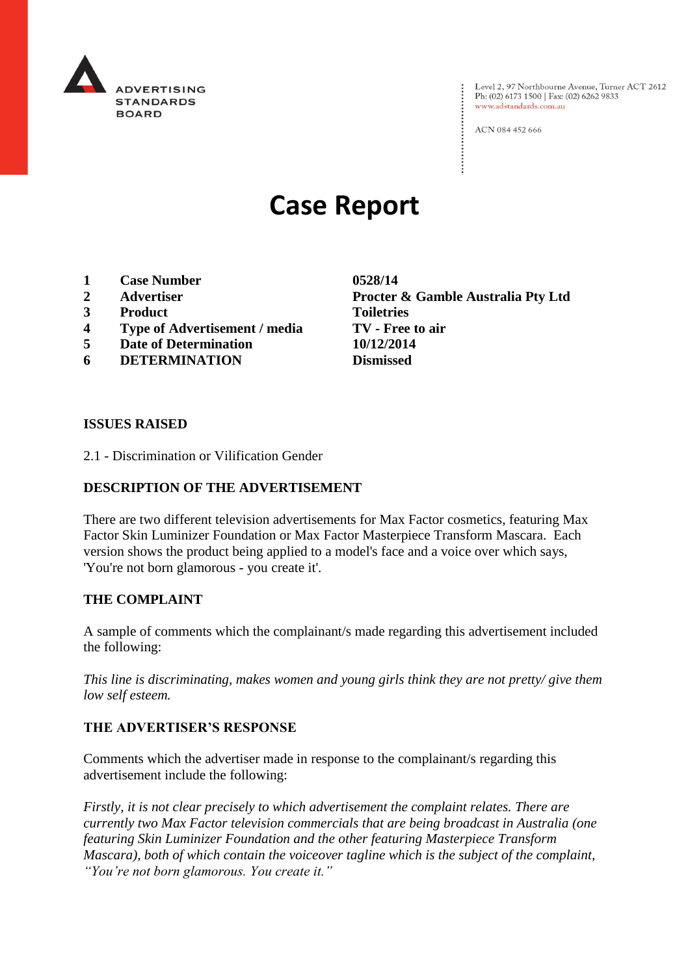

Level 2, 97 Northbourne Avenue, Turner ACT 2612 Ph: (02) 6173 1500 | Fax: (02) 6262 9833 www.adstandards.com.au

ACN 084 452 666

# **Case Report**

- **1 Case Number 0528/14**
- 
- **3 Product Toiletries**
- **4 Type of Advertisement / media TV - Free to air**
- **5 Date of Determination 10/12/2014**
- **6 DETERMINATION Dismissed**

**2 Advertiser Procter & Gamble Australia Pty Ltd**

#### **ISSUES RAISED**

2.1 - Discrimination or Vilification Gender

## **DESCRIPTION OF THE ADVERTISEMENT**

There are two different television advertisements for Max Factor cosmetics, featuring Max Factor Skin Luminizer Foundation or Max Factor Masterpiece Transform Mascara. Each version shows the product being applied to a model's face and a voice over which says, 'You're not born glamorous - you create it'.

## **THE COMPLAINT**

A sample of comments which the complainant/s made regarding this advertisement included the following:

*This line is discriminating, makes women and young girls think they are not pretty/ give them low self esteem.*

## **THE ADVERTISER'S RESPONSE**

Comments which the advertiser made in response to the complainant/s regarding this advertisement include the following:

*Firstly, it is not clear precisely to which advertisement the complaint relates. There are currently two Max Factor television commercials that are being broadcast in Australia (one featuring Skin Luminizer Foundation and the other featuring Masterpiece Transform Mascara), both of which contain the voiceover tagline which is the subject of the complaint, "You're not born glamorous. You create it."*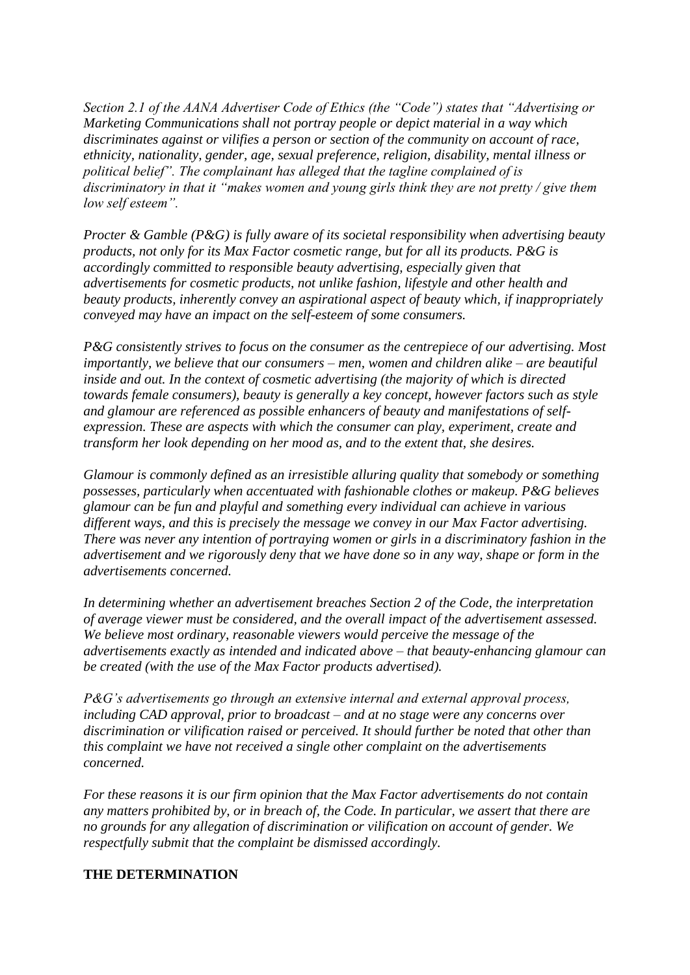*Section 2.1 of the AANA Advertiser Code of Ethics (the "Code") states that "Advertising or Marketing Communications shall not portray people or depict material in a way which discriminates against or vilifies a person or section of the community on account of race, ethnicity, nationality, gender, age, sexual preference, religion, disability, mental illness or political belief". The complainant has alleged that the tagline complained of is discriminatory in that it "makes women and young girls think they are not pretty / give them low self esteem".*

*Procter & Gamble (P&G) is fully aware of its societal responsibility when advertising beauty products, not only for its Max Factor cosmetic range, but for all its products. P&G is accordingly committed to responsible beauty advertising, especially given that advertisements for cosmetic products, not unlike fashion, lifestyle and other health and beauty products, inherently convey an aspirational aspect of beauty which, if inappropriately conveyed may have an impact on the self-esteem of some consumers.*

*P&G consistently strives to focus on the consumer as the centrepiece of our advertising. Most importantly, we believe that our consumers – men, women and children alike – are beautiful inside and out. In the context of cosmetic advertising (the majority of which is directed towards female consumers), beauty is generally a key concept, however factors such as style and glamour are referenced as possible enhancers of beauty and manifestations of selfexpression. These are aspects with which the consumer can play, experiment, create and transform her look depending on her mood as, and to the extent that, she desires.*

*Glamour is commonly defined as an irresistible alluring quality that somebody or something possesses, particularly when accentuated with fashionable clothes or makeup. P&G believes glamour can be fun and playful and something every individual can achieve in various different ways, and this is precisely the message we convey in our Max Factor advertising. There was never any intention of portraying women or girls in a discriminatory fashion in the advertisement and we rigorously deny that we have done so in any way, shape or form in the advertisements concerned.*

*In determining whether an advertisement breaches Section 2 of the Code, the interpretation of average viewer must be considered, and the overall impact of the advertisement assessed. We believe most ordinary, reasonable viewers would perceive the message of the advertisements exactly as intended and indicated above – that beauty-enhancing glamour can be created (with the use of the Max Factor products advertised).*

*P&G's advertisements go through an extensive internal and external approval process, including CAD approval, prior to broadcast – and at no stage were any concerns over discrimination or vilification raised or perceived. It should further be noted that other than this complaint we have not received a single other complaint on the advertisements concerned.*

*For these reasons it is our firm opinion that the Max Factor advertisements do not contain any matters prohibited by, or in breach of, the Code. In particular, we assert that there are no grounds for any allegation of discrimination or vilification on account of gender. We respectfully submit that the complaint be dismissed accordingly.*

## **THE DETERMINATION**